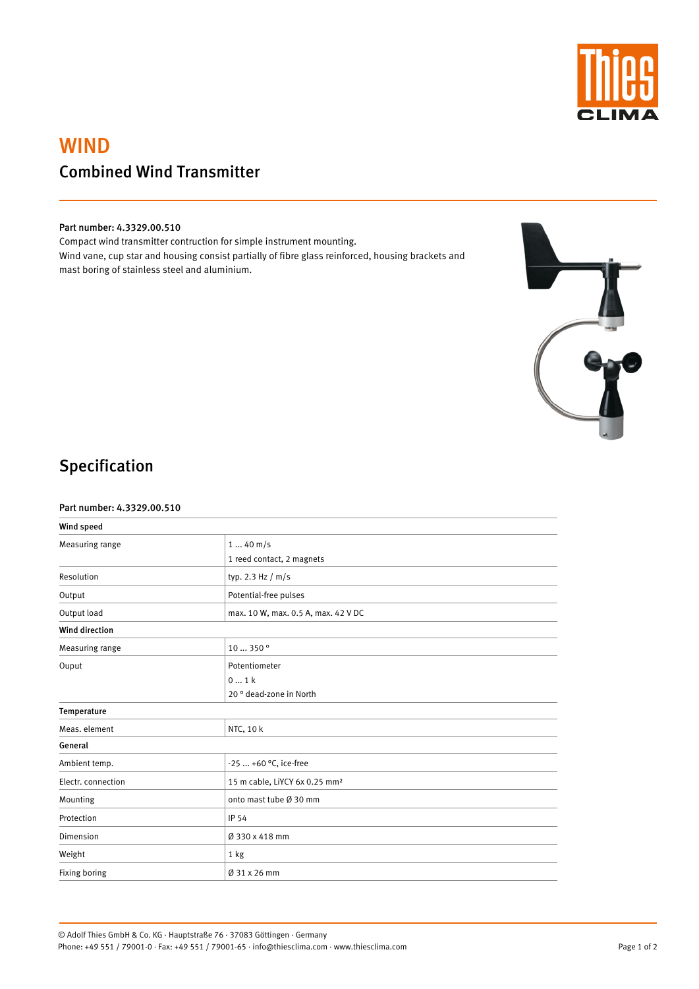

# WIND Combined Wind Transmitter

#### Part number: 4.3329.00.510

Compact wind transmitter contruction for simple instrument mounting. Wind vane, cup star and housing consist partially of fibre glass reinforced, housing brackets and mast boring of stainless steel and aluminium.



# Specification

#### Part number: 4.3329.00.510

| Wind speed                  |                                     |
|-----------------------------|-------------------------------------|
| Measuring range             | $140$ m/s                           |
|                             | 1 reed contact, 2 magnets           |
| Resolution                  | typ. 2.3 Hz $/m/s$                  |
| Output                      | Potential-free pulses               |
| Output load                 | max. 10 W, max. 0.5 A, max. 42 V DC |
| <b>Wind direction</b>       |                                     |
| Measuring range             | 10  350 <sup>°</sup>                |
| Ouput                       | Potentiometer                       |
|                             | 01k                                 |
|                             | 20° dead-zone in North              |
| Temperature                 |                                     |
| Meas. element               | NTC, 10 k                           |
| $\sim$ $\sim$ $\sim$ $\sim$ |                                     |

General

| Ambient temp.      | $-25$ +60 °C, ice-free                    |
|--------------------|-------------------------------------------|
| Electr. connection | 15 m cable, LiYCY 6x 0.25 mm <sup>2</sup> |
| Mounting           | onto mast tube Ø 30 mm                    |
| Protection         | IP 54                                     |
| Dimension          | Ø 330 x 418 mm                            |
| Weight             | 1 kg                                      |
| Fixing boring      | $\varnothing$ 31 x 26 mm                  |

© Adolf Thies GmbH & Co. KG · Hauptstraße 76 · 37083 Göttingen · Germany Phone: +49 551 / 79001-0 · Fax: +49 551 / 79001-65 · info@thiesclima.com · www.thiesclima.com